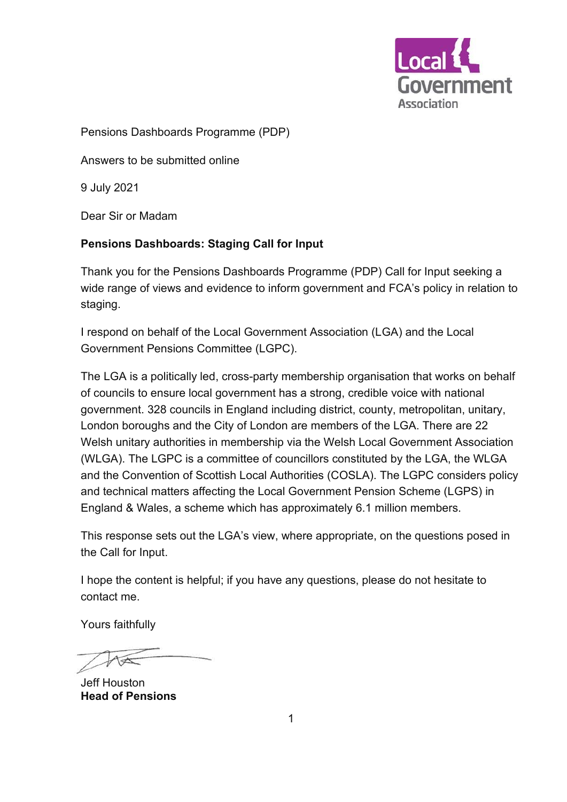

Pensions Dashboards Programme (PDP)

Answers to be submitted online

9 July 2021

Dear Sir or Madam

#### **Pensions Dashboards: Staging Call for Input**

Thank you for the Pensions Dashboards Programme (PDP) Call for Input seeking a wide range of views and evidence to inform government and FCA's policy in relation to staging.

I respond on behalf of the Local Government Association (LGA) and the Local Government Pensions Committee (LGPC).

The LGA is a politically led, cross-party membership organisation that works on behalf of councils to ensure local government has a strong, credible voice with national government. 328 councils in England including district, county, metropolitan, unitary, London boroughs and the City of London are members of the LGA. There are 22 Welsh unitary authorities in membership via the Welsh Local Government Association (WLGA). The LGPC is a committee of councillors constituted by the LGA, the WLGA and the Convention of Scottish Local Authorities (COSLA). The LGPC considers policy and technical matters affecting the Local Government Pension Scheme (LGPS) in England & Wales, a scheme which has approximately 6.1 million members.

This response sets out the LGA's view, where appropriate, on the questions posed in the Call for Input.

I hope the content is helpful; if you have any questions, please do not hesitate to contact me.

Yours faithfully

Jeff Houston **Head of Pensions**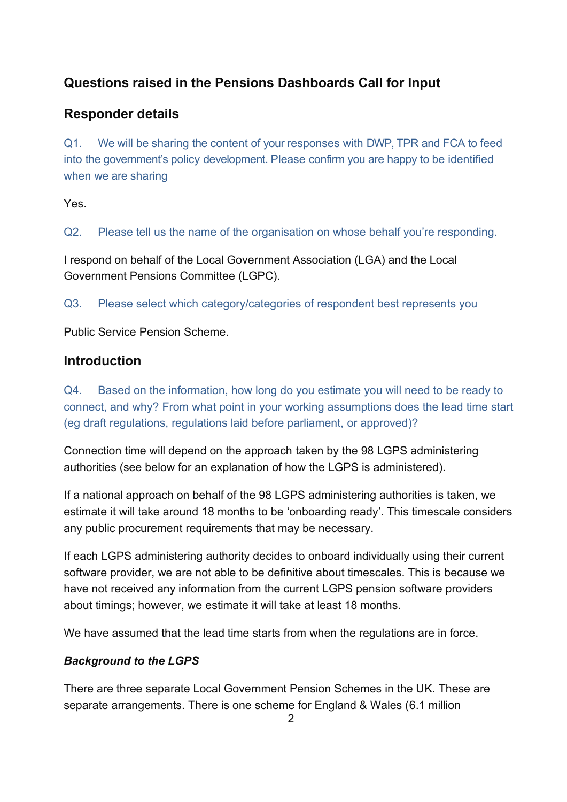# **Questions raised in the Pensions Dashboards Call for Input**

## **Responder details**

Q1. We will be sharing the content of your responses with DWP, TPR and FCA to feed into the government's policy development. Please confirm you are happy to be identified when we are sharing

Yes.

Q2. Please tell us the name of the organisation on whose behalf you're responding.

I respond on behalf of the Local Government Association (LGA) and the Local Government Pensions Committee (LGPC).

Q3. Please select which category/categories of respondent best represents you

Public Service Pension Scheme.

## **Introduction**

Q4. Based on the information, how long do you estimate you will need to be ready to connect, and why? From what point in your working assumptions does the lead time start (eg draft regulations, regulations laid before parliament, or approved)?

Connection time will depend on the approach taken by the 98 LGPS administering authorities (see below for an explanation of how the LGPS is administered).

If a national approach on behalf of the 98 LGPS administering authorities is taken, we estimate it will take around 18 months to be 'onboarding ready'. This timescale considers any public procurement requirements that may be necessary.

If each LGPS administering authority decides to onboard individually using their current software provider, we are not able to be definitive about timescales. This is because we have not received any information from the current LGPS pension software providers about timings; however, we estimate it will take at least 18 months.

We have assumed that the lead time starts from when the regulations are in force.

## *Background to the LGPS*

There are three separate Local Government Pension Schemes in the UK. These are separate arrangements. There is one scheme for England & Wales (6.1 million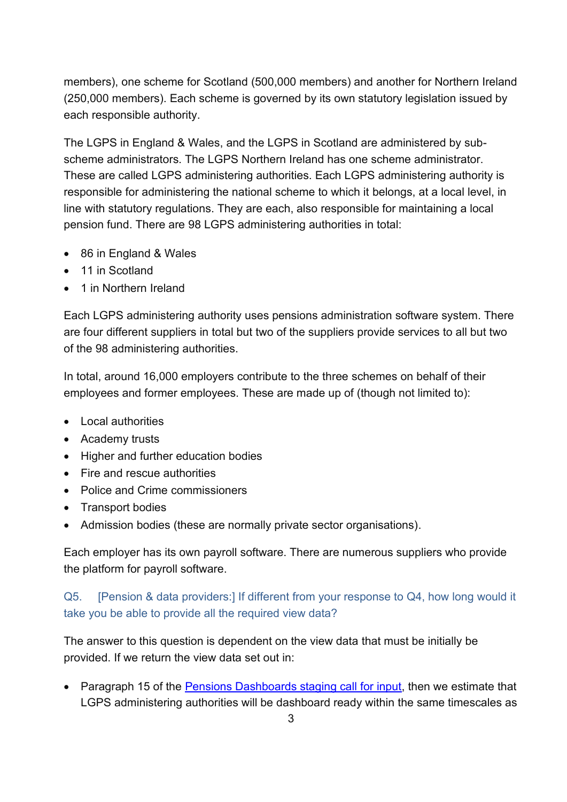members), one scheme for Scotland (500,000 members) and another for Northern Ireland (250,000 members). Each scheme is governed by its own statutory legislation issued by each responsible authority.

The LGPS in England & Wales, and the LGPS in Scotland are administered by subscheme administrators. The LGPS Northern Ireland has one scheme administrator. These are called LGPS administering authorities. Each LGPS administering authority is responsible for administering the national scheme to which it belongs, at a local level, in line with statutory regulations. They are each, also responsible for maintaining a local pension fund. There are 98 LGPS administering authorities in total:

- 86 in England & Wales
- 11 in Scotland
- 1 in Northern Ireland

Each LGPS administering authority uses pensions administration software system. There are four different suppliers in total but two of the suppliers provide services to all but two of the 98 administering authorities.

In total, around 16,000 employers contribute to the three schemes on behalf of their employees and former employees. These are made up of (though not limited to):

- Local authorities
- Academy trusts
- Higher and further education bodies
- Fire and rescue authorities
- Police and Crime commissioners
- Transport bodies
- Admission bodies (these are normally private sector organisations).

Each employer has its own payroll software. There are numerous suppliers who provide the platform for payroll software.

Q5. [Pension & data providers:] If different from your response to Q4, how long would it take you be able to provide all the required view data?

The answer to this question is dependent on the view data that must be initially be provided. If we return the view data set out in:

• Paragraph 15 of the [Pensions Dashboards staging call for input,](https://www.pensionsdashboardsprogramme.org.uk/2021/05/27/call-for-input-staging-shape-connection-proposals/) then we estimate that LGPS administering authorities will be dashboard ready within the same timescales as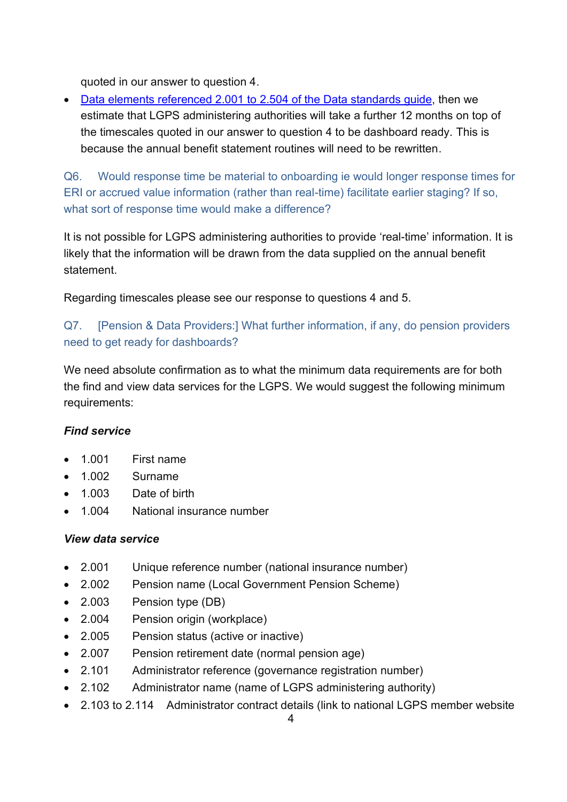quoted in our answer to question 4.

• [Data elements referenced 2.001 to 2.504](https://www.pensionsdashboardsprogramme.org.uk/2020/12/15/data-standards-guide/) of the Data standards guide, then we estimate that LGPS administering authorities will take a further 12 months on top of the timescales quoted in our answer to question 4 to be dashboard ready. This is because the annual benefit statement routines will need to be rewritten.

Q6. Would response time be material to onboarding ie would longer response times for ERI or accrued value information (rather than real-time) facilitate earlier staging? If so, what sort of response time would make a difference?

It is not possible for LGPS administering authorities to provide 'real-time' information. It is likely that the information will be drawn from the data supplied on the annual benefit statement.

Regarding timescales please see our response to questions 4 and 5.

## Q7. [Pension & Data Providers:] What further information, if any, do pension providers need to get ready for dashboards?

We need absolute confirmation as to what the minimum data requirements are for both the find and view data services for the LGPS. We would suggest the following minimum requirements:

#### *Find service*

- 1.001 First name
- 1.002 Surname
- 1.003 Date of birth
- 1.004 National insurance number

#### *View data service*

- 2.001 Unique reference number (national insurance number)
- 2.002 Pension name (Local Government Pension Scheme)
- 2.003 Pension type (DB)
- 2.004 Pension origin (workplace)
- 2.005 Pension status (active or inactive)
- 2.007 Pension retirement date (normal pension age)
- 2.101 Administrator reference (governance registration number)
- 2.102 Administrator name (name of LGPS administering authority)
- 2.103 to 2.114 Administrator contract details (link to national LGPS member website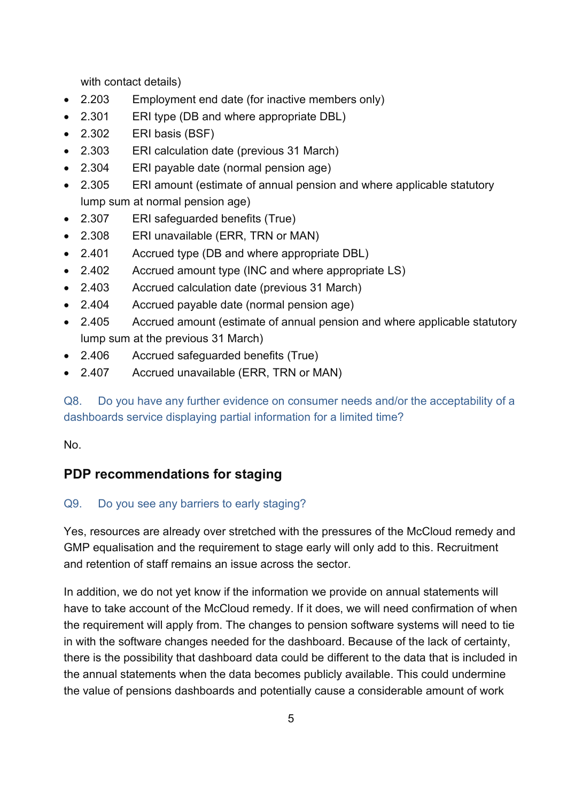with contact details)

- 2.203 Employment end date (for inactive members only)
- 2.301 ERI type (DB and where appropriate DBL)
- 2.302 ERI basis (BSF)
- 2.303 ERI calculation date (previous 31 March)
- 2.304 ERI payable date (normal pension age)
- 2.305 ERI amount (estimate of annual pension and where applicable statutory lump sum at normal pension age)
- 2.307 ERI safeguarded benefits (True)
- 2.308 ERI unavailable (ERR, TRN or MAN)
- 2.401 Accrued type (DB and where appropriate DBL)
- 2.402 Accrued amount type (INC and where appropriate LS)
- 2.403 Accrued calculation date (previous 31 March)
- 2.404 Accrued payable date (normal pension age)
- 2.405 Accrued amount (estimate of annual pension and where applicable statutory lump sum at the previous 31 March)
- 2.406 Accrued safeguarded benefits (True)
- 2.407 Accrued unavailable (ERR, TRN or MAN)

Q8. Do you have any further evidence on consumer needs and/or the acceptability of a dashboards service displaying partial information for a limited time?

No.

## **PDP recommendations for staging**

#### Q9. Do you see any barriers to early staging?

Yes, resources are already over stretched with the pressures of the McCloud remedy and GMP equalisation and the requirement to stage early will only add to this. Recruitment and retention of staff remains an issue across the sector.

In addition, we do not yet know if the information we provide on annual statements will have to take account of the McCloud remedy. If it does, we will need confirmation of when the requirement will apply from. The changes to pension software systems will need to tie in with the software changes needed for the dashboard. Because of the lack of certainty, there is the possibility that dashboard data could be different to the data that is included in the annual statements when the data becomes publicly available. This could undermine the value of pensions dashboards and potentially cause a considerable amount of work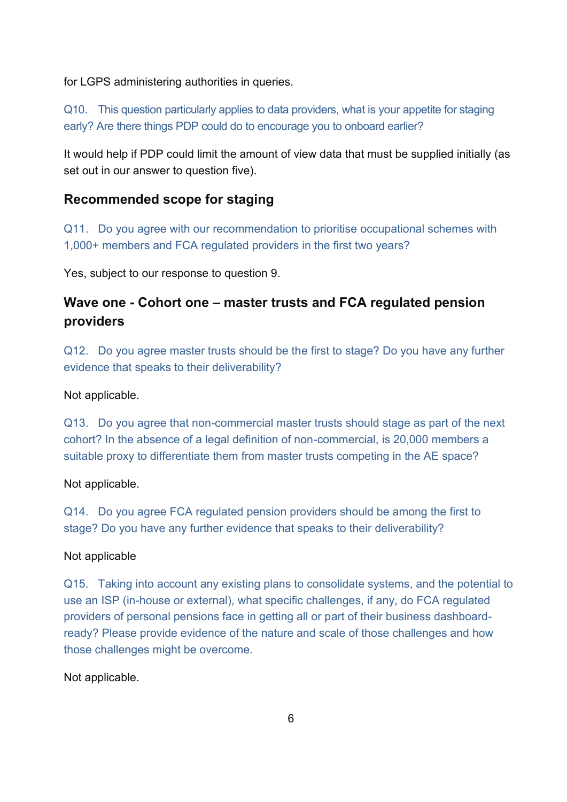for LGPS administering authorities in queries.

Q10. This question particularly applies to data providers, what is your appetite for staging early? Are there things PDP could do to encourage you to onboard earlier?

It would help if PDP could limit the amount of view data that must be supplied initially (as set out in our answer to question five).

## **Recommended scope for staging**

Q11. Do you agree with our recommendation to prioritise occupational schemes with 1,000+ members and FCA regulated providers in the first two years?

Yes, subject to our response to question 9.

# **Wave one - Cohort one – master trusts and FCA regulated pension providers**

Q12. Do you agree master trusts should be the first to stage? Do you have any further evidence that speaks to their deliverability?

Not applicable.

Q13. Do you agree that non-commercial master trusts should stage as part of the next cohort? In the absence of a legal definition of non-commercial, is 20,000 members a suitable proxy to differentiate them from master trusts competing in the AE space?

Not applicable.

Q14. Do you agree FCA regulated pension providers should be among the first to stage? Do you have any further evidence that speaks to their deliverability?

#### Not applicable

Q15. Taking into account any existing plans to consolidate systems, and the potential to use an ISP (in-house or external), what specific challenges, if any, do FCA regulated providers of personal pensions face in getting all or part of their business dashboardready? Please provide evidence of the nature and scale of those challenges and how those challenges might be overcome.

Not applicable.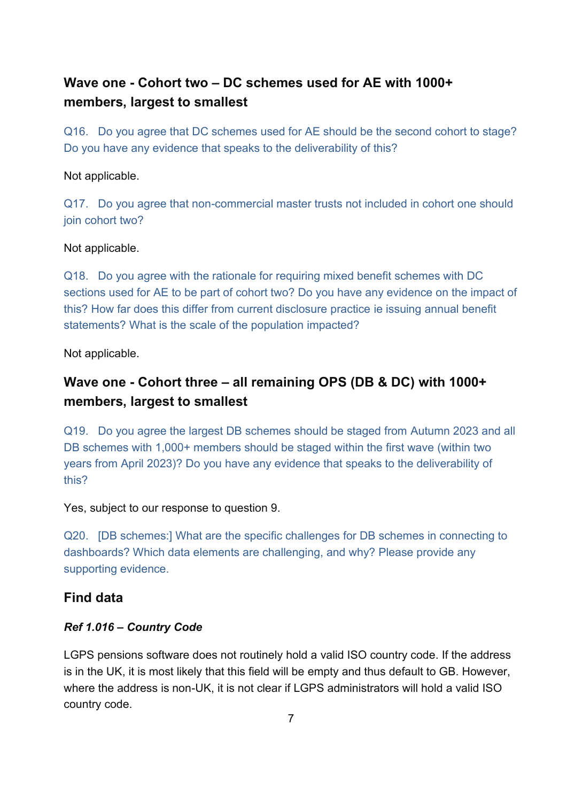# **Wave one - Cohort two – DC schemes used for AE with 1000+ members, largest to smallest**

Q16. Do you agree that DC schemes used for AE should be the second cohort to stage? Do you have any evidence that speaks to the deliverability of this?

#### Not applicable.

Q17. Do you agree that non-commercial master trusts not included in cohort one should join cohort two?

#### Not applicable.

Q18. Do you agree with the rationale for requiring mixed benefit schemes with DC sections used for AE to be part of cohort two? Do you have any evidence on the impact of this? How far does this differ from current disclosure practice ie issuing annual benefit statements? What is the scale of the population impacted?

Not applicable.

# **Wave one - Cohort three – all remaining OPS (DB & DC) with 1000+ members, largest to smallest**

Q19. Do you agree the largest DB schemes should be staged from Autumn 2023 and all DB schemes with 1,000+ members should be staged within the first wave (within two years from April 2023)? Do you have any evidence that speaks to the deliverability of this?

Yes, subject to our response to question 9.

Q20. [DB schemes:] What are the specific challenges for DB schemes in connecting to dashboards? Which data elements are challenging, and why? Please provide any supporting evidence.

#### **Find data**

#### *Ref 1.016 – Country Code*

LGPS pensions software does not routinely hold a valid ISO country code. If the address is in the UK, it is most likely that this field will be empty and thus default to GB. However, where the address is non-UK, it is not clear if LGPS administrators will hold a valid ISO country code.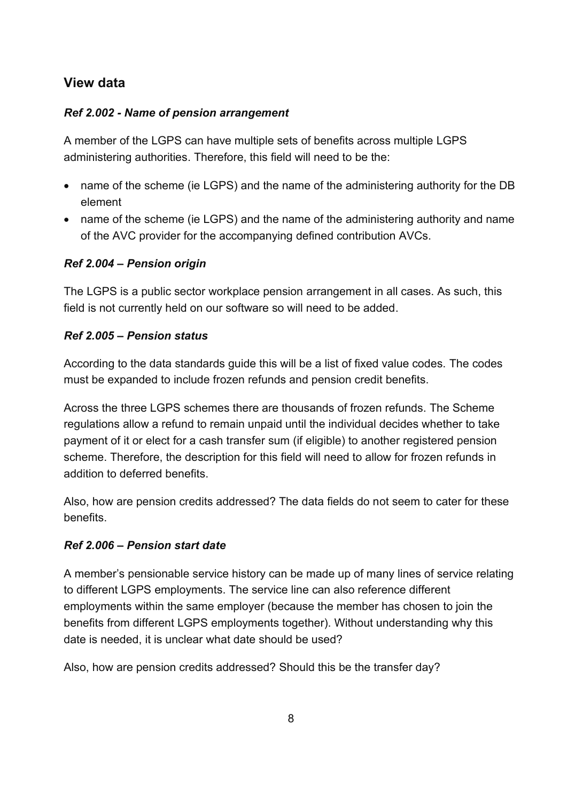# **View data**

#### *Ref 2.002 - Name of pension arrangement*

A member of the LGPS can have multiple sets of benefits across multiple LGPS administering authorities. Therefore, this field will need to be the:

- name of the scheme (ie LGPS) and the name of the administering authority for the DB element
- name of the scheme (ie LGPS) and the name of the administering authority and name of the AVC provider for the accompanying defined contribution AVCs.

#### *Ref 2.004 – Pension origin*

The LGPS is a public sector workplace pension arrangement in all cases. As such, this field is not currently held on our software so will need to be added.

#### *Ref 2.005 – Pension status*

According to the data standards guide this will be a list of fixed value codes. The codes must be expanded to include frozen refunds and pension credit benefits.

Across the three LGPS schemes there are thousands of frozen refunds. The Scheme regulations allow a refund to remain unpaid until the individual decides whether to take payment of it or elect for a cash transfer sum (if eligible) to another registered pension scheme. Therefore, the description for this field will need to allow for frozen refunds in addition to deferred benefits.

Also, how are pension credits addressed? The data fields do not seem to cater for these benefits.

## *Ref 2.006 – Pension start date*

A member's pensionable service history can be made up of many lines of service relating to different LGPS employments. The service line can also reference different employments within the same employer (because the member has chosen to join the benefits from different LGPS employments together). Without understanding why this date is needed, it is unclear what date should be used?

Also, how are pension credits addressed? Should this be the transfer day?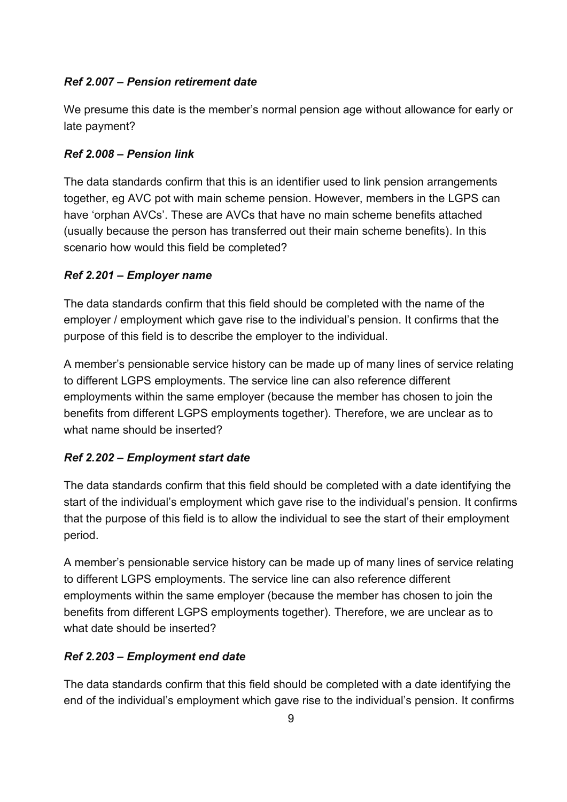#### *Ref 2.007 – Pension retirement date*

We presume this date is the member's normal pension age without allowance for early or late payment?

#### *Ref 2.008 – Pension link*

The data standards confirm that this is an identifier used to link pension arrangements together, eg AVC pot with main scheme pension. However, members in the LGPS can have 'orphan AVCs'. These are AVCs that have no main scheme benefits attached (usually because the person has transferred out their main scheme benefits). In this scenario how would this field be completed?

#### *Ref 2.201 – Employer name*

The data standards confirm that this field should be completed with the name of the employer / employment which gave rise to the individual's pension. It confirms that the purpose of this field is to describe the employer to the individual.

A member's pensionable service history can be made up of many lines of service relating to different LGPS employments. The service line can also reference different employments within the same employer (because the member has chosen to join the benefits from different LGPS employments together). Therefore, we are unclear as to what name should be inserted?

## *Ref 2.202 – Employment start date*

The data standards confirm that this field should be completed with a date identifying the start of the individual's employment which gave rise to the individual's pension. It confirms that the purpose of this field is to allow the individual to see the start of their employment period.

A member's pensionable service history can be made up of many lines of service relating to different LGPS employments. The service line can also reference different employments within the same employer (because the member has chosen to join the benefits from different LGPS employments together). Therefore, we are unclear as to what date should be inserted?

## *Ref 2.203 – Employment end date*

The data standards confirm that this field should be completed with a date identifying the end of the individual's employment which gave rise to the individual's pension. It confirms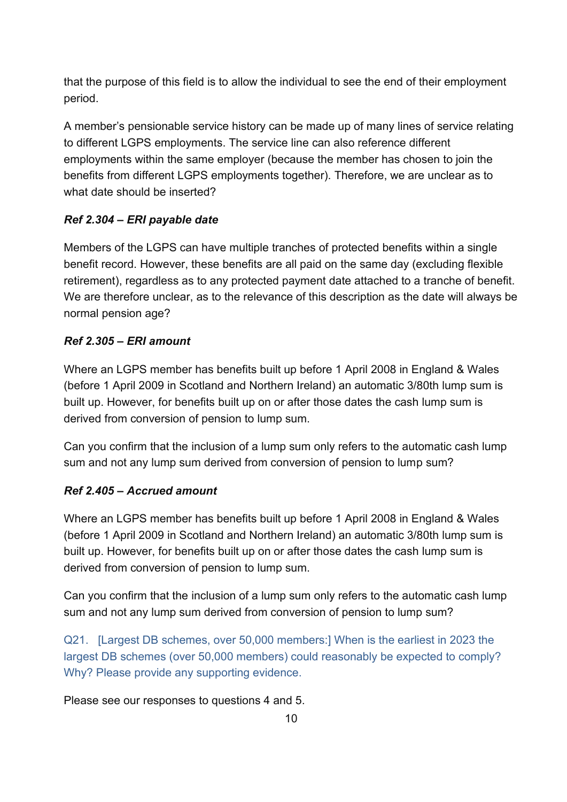that the purpose of this field is to allow the individual to see the end of their employment period.

A member's pensionable service history can be made up of many lines of service relating to different LGPS employments. The service line can also reference different employments within the same employer (because the member has chosen to join the benefits from different LGPS employments together). Therefore, we are unclear as to what date should be inserted?

#### *Ref 2.304 – ERI payable date*

Members of the LGPS can have multiple tranches of protected benefits within a single benefit record. However, these benefits are all paid on the same day (excluding flexible retirement), regardless as to any protected payment date attached to a tranche of benefit. We are therefore unclear, as to the relevance of this description as the date will always be normal pension age?

#### *Ref 2.305 – ERI amount*

Where an LGPS member has benefits built up before 1 April 2008 in England & Wales (before 1 April 2009 in Scotland and Northern Ireland) an automatic 3/80th lump sum is built up. However, for benefits built up on or after those dates the cash lump sum is derived from conversion of pension to lump sum.

Can you confirm that the inclusion of a lump sum only refers to the automatic cash lump sum and not any lump sum derived from conversion of pension to lump sum?

#### *Ref 2.405 – Accrued amount*

Where an LGPS member has benefits built up before 1 April 2008 in England & Wales (before 1 April 2009 in Scotland and Northern Ireland) an automatic 3/80th lump sum is built up. However, for benefits built up on or after those dates the cash lump sum is derived from conversion of pension to lump sum.

Can you confirm that the inclusion of a lump sum only refers to the automatic cash lump sum and not any lump sum derived from conversion of pension to lump sum?

Q21. [Largest DB schemes, over 50,000 members:] When is the earliest in 2023 the largest DB schemes (over 50,000 members) could reasonably be expected to comply? Why? Please provide any supporting evidence.

Please see our responses to questions 4 and 5.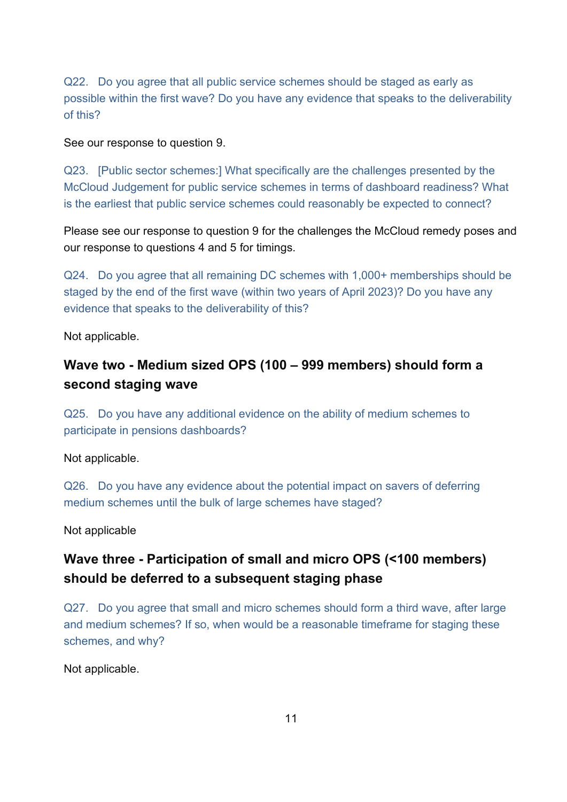Q22. Do you agree that all public service schemes should be staged as early as possible within the first wave? Do you have any evidence that speaks to the deliverability of this?

See our response to question 9.

Q23. [Public sector schemes:] What specifically are the challenges presented by the McCloud Judgement for public service schemes in terms of dashboard readiness? What is the earliest that public service schemes could reasonably be expected to connect?

Please see our response to question 9 for the challenges the McCloud remedy poses and our response to questions 4 and 5 for timings.

Q24. Do you agree that all remaining DC schemes with 1,000+ memberships should be staged by the end of the first wave (within two years of April 2023)? Do you have any evidence that speaks to the deliverability of this?

Not applicable.

# **Wave two - Medium sized OPS (100 – 999 members) should form a second staging wave**

Q25. Do you have any additional evidence on the ability of medium schemes to participate in pensions dashboards?

Not applicable.

Q26. Do you have any evidence about the potential impact on savers of deferring medium schemes until the bulk of large schemes have staged?

Not applicable

# **Wave three - Participation of small and micro OPS (<100 members) should be deferred to a subsequent staging phase**

Q27. Do you agree that small and micro schemes should form a third wave, after large and medium schemes? If so, when would be a reasonable timeframe for staging these schemes, and why?

Not applicable.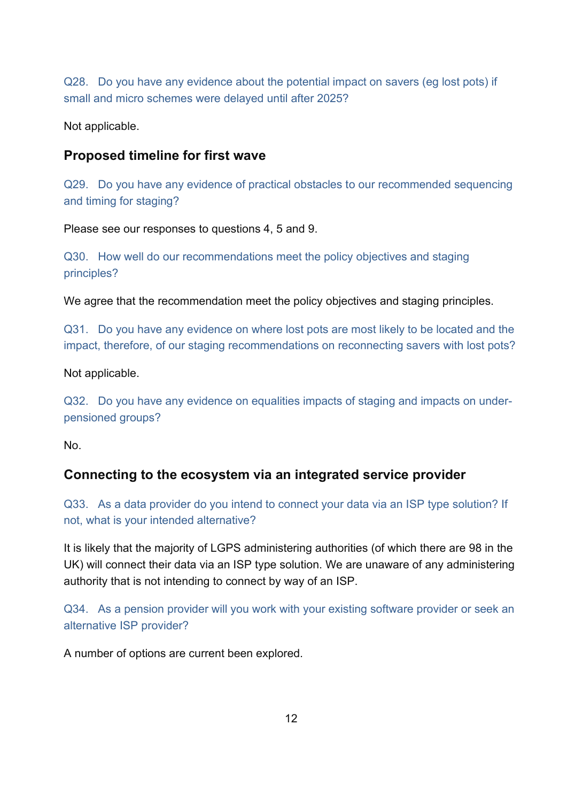Q28. Do you have any evidence about the potential impact on savers (eg lost pots) if small and micro schemes were delayed until after 2025?

Not applicable.

#### **Proposed timeline for first wave**

Q29. Do you have any evidence of practical obstacles to our recommended sequencing and timing for staging?

Please see our responses to questions 4, 5 and 9.

Q30. How well do our recommendations meet the policy objectives and staging principles?

We agree that the recommendation meet the policy objectives and staging principles.

Q31. Do you have any evidence on where lost pots are most likely to be located and the impact, therefore, of our staging recommendations on reconnecting savers with lost pots?

Not applicable.

Q32. Do you have any evidence on equalities impacts of staging and impacts on underpensioned groups?

No.

## **Connecting to the ecosystem via an integrated service provider**

Q33. As a data provider do you intend to connect your data via an ISP type solution? If not, what is your intended alternative?

It is likely that the majority of LGPS administering authorities (of which there are 98 in the UK) will connect their data via an ISP type solution. We are unaware of any administering authority that is not intending to connect by way of an ISP.

Q34. As a pension provider will you work with your existing software provider or seek an alternative ISP provider?

A number of options are current been explored.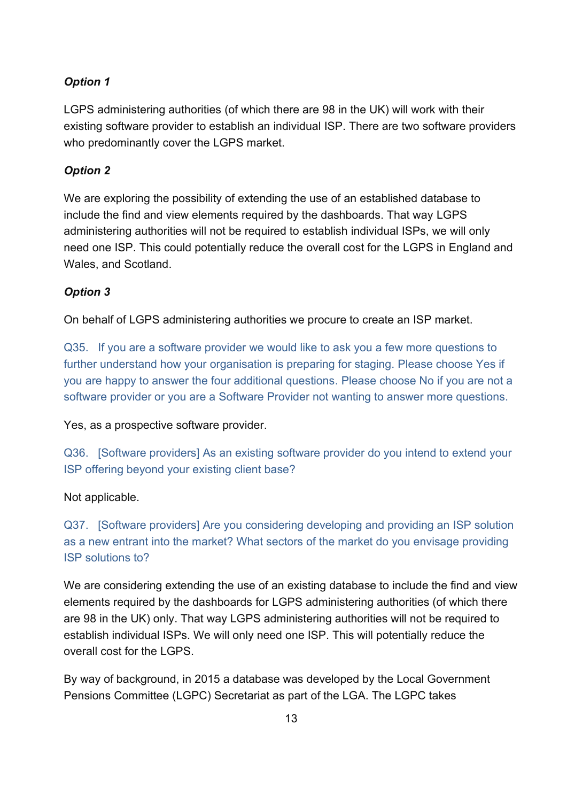#### *Option 1*

LGPS administering authorities (of which there are 98 in the UK) will work with their existing software provider to establish an individual ISP. There are two software providers who predominantly cover the LGPS market.

#### *Option 2*

We are exploring the possibility of extending the use of an established database to include the find and view elements required by the dashboards. That way LGPS administering authorities will not be required to establish individual ISPs, we will only need one ISP. This could potentially reduce the overall cost for the LGPS in England and Wales, and Scotland.

#### *Option 3*

On behalf of LGPS administering authorities we procure to create an ISP market.

Q35. If you are a software provider we would like to ask you a few more questions to further understand how your organisation is preparing for staging. Please choose Yes if you are happy to answer the four additional questions. Please choose No if you are not a software provider or you are a Software Provider not wanting to answer more questions.

Yes, as a prospective software provider.

Q36. [Software providers] As an existing software provider do you intend to extend your ISP offering beyond your existing client base?

#### Not applicable.

Q37. [Software providers] Are you considering developing and providing an ISP solution as a new entrant into the market? What sectors of the market do you envisage providing ISP solutions to?

We are considering extending the use of an existing database to include the find and view elements required by the dashboards for LGPS administering authorities (of which there are 98 in the UK) only. That way LGPS administering authorities will not be required to establish individual ISPs. We will only need one ISP. This will potentially reduce the overall cost for the LGPS.

By way of background, in 2015 a database was developed by the Local Government Pensions Committee (LGPC) Secretariat as part of the LGA. The LGPC takes